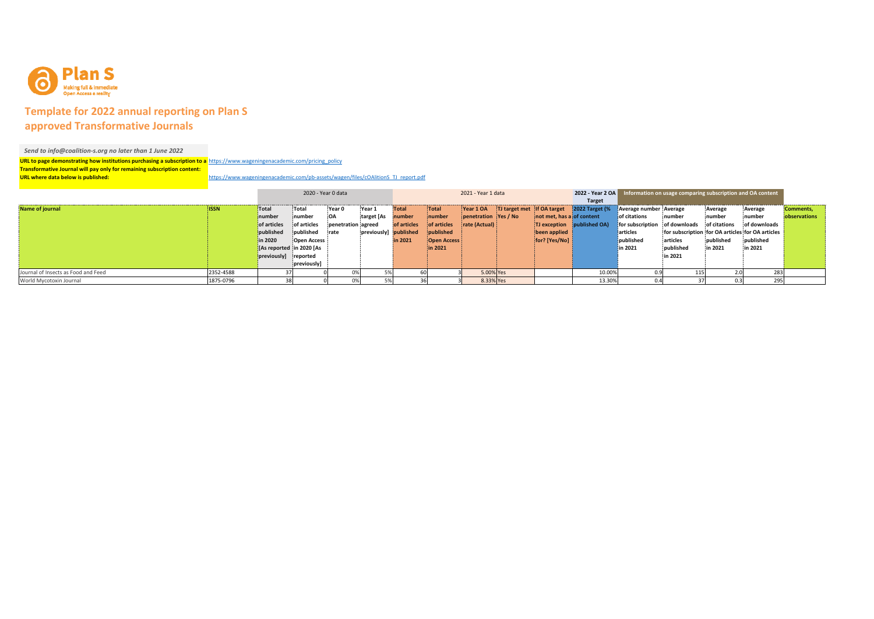

## **Template for 2022 annual reporting on Plan S approved Transformative Journals**

## *Send to info@coalition‐s.org no later than 1 June 2022*

**URL to page demonstrating how institutions purchasing <sup>a</sup> subscription to <sup>a</sup>** https://www.wageningenacademic.com/pricing\_policy **Transformative Journal will pay only for remaining subscription content: URL where data below is published:** https://www.wageningenacademic.com/pb-assets/wagen/files/cOAlitionS\_TJ\_report.pdf

|                                     |             | 2020 - Year 0 data       |                   |                    | 2021 - Year 1 data    |             |                    |                      |  |                           | 2022 - Year 2 OA Information on usage comparing subscription and OA content |                               |                                                  |              |              |              |
|-------------------------------------|-------------|--------------------------|-------------------|--------------------|-----------------------|-------------|--------------------|----------------------|--|---------------------------|-----------------------------------------------------------------------------|-------------------------------|--------------------------------------------------|--------------|--------------|--------------|
|                                     |             |                          |                   |                    |                       |             |                    |                      |  |                           |                                                                             |                               |                                                  |              |              |              |
| Name of journal                     | <b>ISSN</b> | <b>Total</b>             | Total             | Year 0             | Year 1                | Total       | Total              | Year 1 OA            |  |                           | TJ target met if OA target 2022 Target (% Average number Average            |                               |                                                  | Average      | Average      | Comments,    |
|                                     |             | number                   | inumber           |                    | target [As number     |             | inumber            | penetration Yes / No |  | not met, has a of content |                                                                             | of citations                  | inumber                                          | inumber      | inumber      | observations |
|                                     |             | of articles              | of articles       | penetration agreed |                       | of articles | of articles        | rate(Actual)         |  |                           | TJ exception published OA)                                                  | for subscription of downloads |                                                  | of citations | of downloads |              |
|                                     |             | published                | <i>b</i> ublished | irate              | previously] published |             | <i>i</i> published |                      |  | been applied              |                                                                             | articles                      | for subscription for OA articles for OA articles |              |              |              |
|                                     |             | in 2020                  | Open Access       |                    |                       | in 2021     | Open Access        |                      |  | [for? [Yes/No]            |                                                                             | published                     | articles                                         | published    | published    |              |
|                                     |             | [As reported in 2020 [As |                   |                    |                       |             | in 2021            |                      |  |                           |                                                                             | in 2021                       | published                                        | in 2021      | in 2021      |              |
|                                     |             | previously] reported     |                   |                    |                       |             |                    |                      |  |                           |                                                                             |                               | in 2021                                          |              |              |              |
|                                     |             |                          | previously        |                    |                       |             |                    |                      |  |                           |                                                                             |                               |                                                  |              |              |              |
| Journal of Insects as Food and Feed | 2352-4588   |                          |                   |                    |                       |             |                    | 5.00% Yes            |  |                           | 10.00%                                                                      |                               |                                                  |              | 283          |              |
| World Mycotoxin Journal             | 1875-0796   |                          |                   |                    |                       |             |                    | 8.33% Yes            |  |                           | 13.30%                                                                      |                               |                                                  |              |              |              |